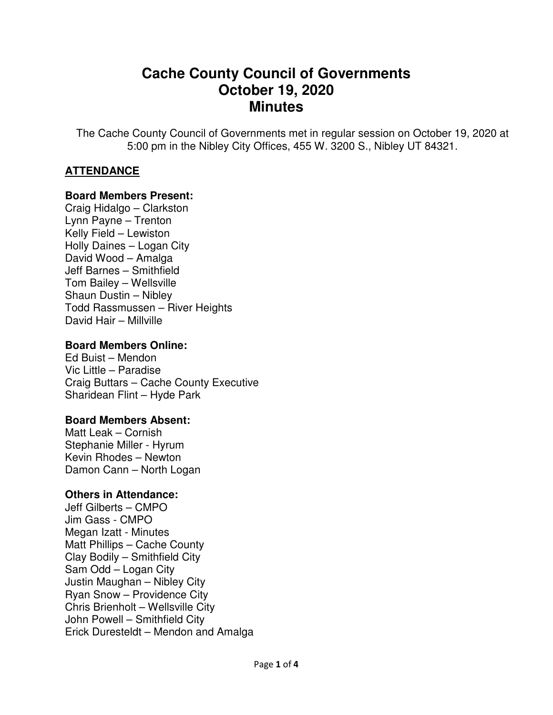# **Cache County Council of Governments October 19, 2020 Minutes**

The Cache County Council of Governments met in regular session on October 19, 2020 at 5:00 pm in the Nibley City Offices, 455 W. 3200 S., Nibley UT 84321.

## **ATTENDANCE**

## **Board Members Present:**

Craig Hidalgo – Clarkston Lynn Payne – Trenton Kelly Field – Lewiston Holly Daines – Logan City David Wood – Amalga Jeff Barnes – Smithfield Tom Bailey – Wellsville Shaun Dustin – Nibley Todd Rassmussen – River Heights David Hair – Millville

#### **Board Members Online:**

Ed Buist – Mendon Vic Little – Paradise Craig Buttars – Cache County Executive Sharidean Flint – Hyde Park

## **Board Members Absent:**

Matt Leak – Cornish Stephanie Miller - Hyrum Kevin Rhodes – Newton Damon Cann – North Logan

## **Others in Attendance:**

Jeff Gilberts – CMPO Jim Gass - CMPO Megan Izatt - Minutes Matt Phillips – Cache County Clay Bodily – Smithfield City Sam Odd – Logan City Justin Maughan – Nibley City Ryan Snow – Providence City Chris Brienholt – Wellsville City John Powell – Smithfield City Erick Duresteldt – Mendon and Amalga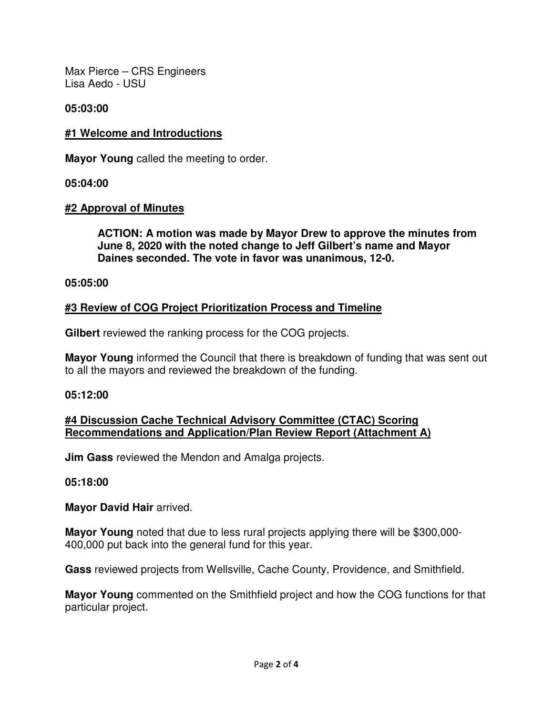Max Pierce – CRS Engineers Lisa Aedo - USU

**05:03:00** 

#### **#1 Welcome and Introductions**

**Mayor Young** called the meeting to order.

**05:04:00** 

#### **#2 Approval of Minutes**

**ACTION: A motion was made by Mayor Drew to approve the minutes from June 8, 2020 with the noted change to Jeff Gilbert's name and Mayor Daines seconded. The vote in favor was unanimous, 12-0.** 

**05:05:00** 

## **#3 Review of COG Project Prioritization Process and Timeline**

**Gilbert** reviewed the ranking process for the COG projects.

**Mayor Young** informed the Council that there is breakdown of funding that was sent out to all the mayors and reviewed the breakdown of the funding.

#### **05:12:00**

#### **#4 Discussion Cache Technical Advisory Committee (CTAC) Scoring Recommendations and Application/Plan Review Report (Attachment A)**

**Jim Gass** reviewed the Mendon and Amalga projects.

**05:18:00** 

**Mayor David Hair** arrived.

**Mayor Young** noted that due to less rural projects applying there will be \$300,000- 400,000 put back into the general fund for this year.

**Gass** reviewed projects from Wellsville, Cache County, Providence, and Smithfield.

**Mayor Young** commented on the Smithfield project and how the COG functions for that particular project.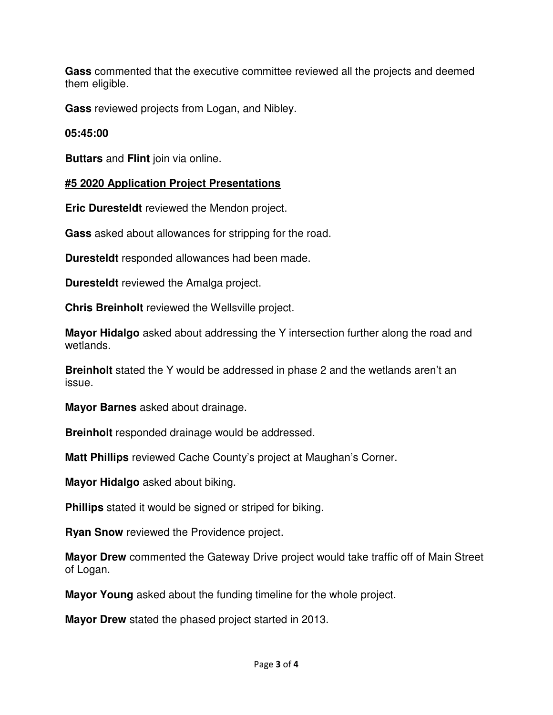**Gass** commented that the executive committee reviewed all the projects and deemed them eligible.

**Gass** reviewed projects from Logan, and Nibley.

**05:45:00** 

**Buttars** and **Flint** join via online.

#### **#5 2020 Application Project Presentations**

**Eric Duresteldt** reviewed the Mendon project.

**Gass** asked about allowances for stripping for the road.

**Duresteldt** responded allowances had been made.

**Duresteldt** reviewed the Amalga project.

**Chris Breinholt** reviewed the Wellsville project.

**Mayor Hidalgo** asked about addressing the Y intersection further along the road and wetlands.

**Breinholt** stated the Y would be addressed in phase 2 and the wetlands aren't an issue.

**Mayor Barnes** asked about drainage.

**Breinholt** responded drainage would be addressed.

**Matt Phillips** reviewed Cache County's project at Maughan's Corner.

**Mayor Hidalgo** asked about biking.

**Phillips** stated it would be signed or striped for biking.

**Ryan Snow** reviewed the Providence project.

**Mayor Drew** commented the Gateway Drive project would take traffic off of Main Street of Logan.

**Mayor Young** asked about the funding timeline for the whole project.

**Mayor Drew** stated the phased project started in 2013.